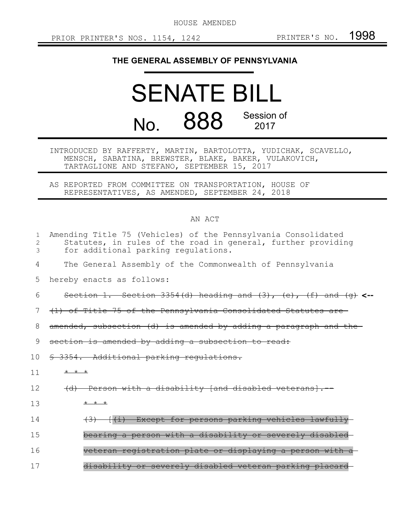HOUSE AMENDED

## **THE GENERAL ASSEMBLY OF PENNSYLVANIA**

## SENATE BILL No. 888 Session of 2017

INTRODUCED BY RAFFERTY, MARTIN, BARTOLOTTA, YUDICHAK, SCAVELLO, MENSCH, SABATINA, BREWSTER, BLAKE, BAKER, VULAKOVICH, TARTAGLIONE AND STEFANO, SEPTEMBER 15, 2017

AS REPORTED FROM COMMITTEE ON TRANSPORTATION, HOUSE OF REPRESENTATIVES, AS AMENDED, SEPTEMBER 24, 2018

## AN ACT

| $\mathbf{1}$<br>2<br>3 | Amending Title 75 (Vehicles) of the Pennsylvania Consolidated<br>Statutes, in rules of the road in general, further providing<br>for additional parking regulations. |
|------------------------|----------------------------------------------------------------------------------------------------------------------------------------------------------------------|
| 4                      | The General Assembly of the Commonwealth of Pennsylvania                                                                                                             |
| 5                      | hereby enacts as follows:                                                                                                                                            |
| 6                      | Section 1. Section 3354(d) heading and $(3)$ , $(e)$ , $(f)$ and $(g)$ <-                                                                                            |
| 7                      | (1) of Title 75 of the Pennsylvania Consolidated Statutes are                                                                                                        |
| 8                      | amended, subsection (d) is amended by adding a paragraph and the-                                                                                                    |
| 9                      | section is amended by adding a subsection to read:                                                                                                                   |
| 10                     | § 3354. Additional parking regulations.                                                                                                                              |
| 11                     | $+$ $+$ $+$                                                                                                                                                          |
| 12                     | (d) Person with a disability (and disabled veterans).                                                                                                                |
| 13                     | $+$ $+$ $+$                                                                                                                                                          |
| 14                     | [(i) Except for persons parking vehicles lawfully                                                                                                                    |
| 15                     | bearing a person with a disability or severely disable                                                                                                               |
| 16                     | veteran registration plate or displaying a person with                                                                                                               |
| 17                     | disability or severely disabled veteran parking placard                                                                                                              |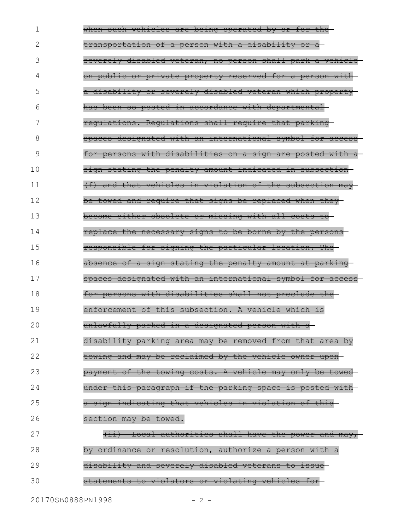when such vehicles are being operated by or for thetransportation of a person with a disability or a severely disabled veteran, no person shall park a vehicle on public or private property reserved for a person with a disability or severely disabled veteran which property has been so posted in accordance with departmental regulations. Regulations shall require that parking spaces designated with an international symbol for access for persons with disabilities on a sign are posted with a sign stating the penalty amount indicated in subsection (f) and that vehicles in violation of the subsection may be towed and require that signs be replaced when they become either obsolete or missing with all costs to replace the necessary signs to be borne by the persons responsible for signing the particular location. The absence of a sign stating the penalty amount at parking spaces designated with an international symbol for access for persons with disabilities shall not preclude the enforcement of this subsection. A vehicle which is unlawfully parked in a designated person with a disability parking area may be removed from that area by towing and may be reclaimed by the vehicle owner upon payment of the towing costs. A vehicle may only be towed under this paragraph if the parking space is posted with a sign indicating that vehicles in violation of this section may be towed. (ii) Local authorities shall have the power and may, by ordinance or resolution, authorize a person with a disability and severely disabled veterans to issue statements to violators or violating vehicles for 1 2 3 4 5 6 7 8 9 10 11 12 13 14 15 16 17 18 19 20 21 22 23 24 25 26 27 28 29 30

20170SB0888PN1998 - 2 -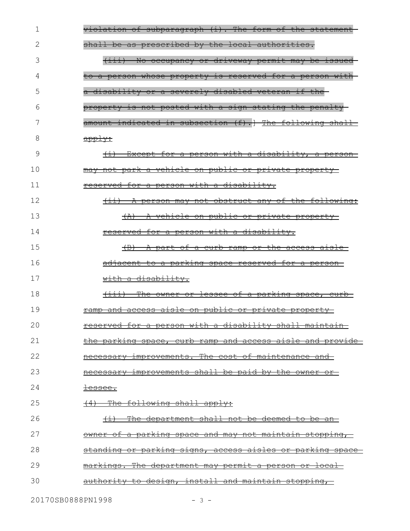| 1  | violation of subparagraph (i). The form of the statement                                  |
|----|-------------------------------------------------------------------------------------------|
| 2  | shall be as prescribed by the local authorities.                                          |
| 3  | (iii) No occupancy or driveway permit may be issued                                       |
| 4  | to a person whose property is reserved for a person with                                  |
| 5  | a disability or a severely disabled veteran if the                                        |
| 6  | property is not posted with a sign stating the penalty-                                   |
| 7  | amount indicated in subsection (f).] The following shall-                                 |
| 8  | apply:                                                                                    |
| 9  | Except for a person with a disability, a person-                                          |
| 10 | may not park a vehicle on public or private property-                                     |
| 11 | reserved for a person with a disability.                                                  |
| 12 | A person may not obstruct any of the following:<br>$\leftarrow$ $\leftarrow$ $\leftarrow$ |
| 13 | (A) A vehicle on public or private property                                               |
| 14 | reserved for a person with a disability.                                                  |
| 15 | $\left( \mathrm{B} \right)$<br>A part of a curb ramp or the access aisle-                 |
| 16 | <u>adjacent to a parking space reserved for a person-</u>                                 |
| 17 | with a disability.                                                                        |
| 18 | The owner or lessee of a parking space, curb-<br>$\leftarrow$ $\leftarrow$                |
| 19 | <u>ramp and access aisle on public or private property-</u>                               |
| 20 | reserved for a person with a disability shall maintain-                                   |
| 21 | <u>the parking space, curb ramp and access aisle and provide-</u>                         |
| 22 | necessary improvements. The cost of maintenance and                                       |
|    |                                                                                           |
| 23 | necessary improvements shall be paid by the owner or-                                     |
| 24 | <del>lessee.</del>                                                                        |
| 25 | The following shall apply:<br>(4)                                                         |
| 26 | The department shall not be deemed to be an-<br>$\overline{)}$                            |
| 27 | <u>owner of a parking space and may not maintain stopping,</u>                            |
| 28 | <u>standing or parking signs, access aisles or parking space-</u>                         |
| 29 | markings. The department may permit a person or local                                     |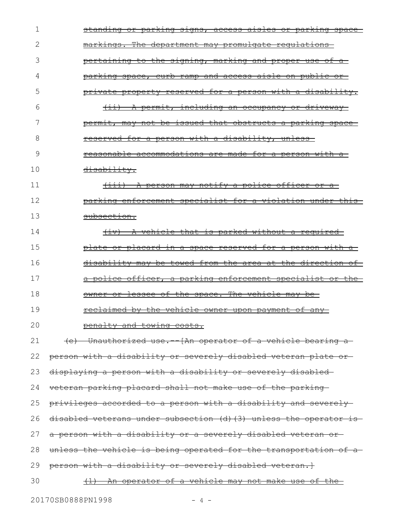| 1  | <u>standing or parking signs, access aisles or parking space-</u> |
|----|-------------------------------------------------------------------|
| 2  | markings. The department may promulgate requlations               |
| 3  | <u>pertaining to the signing, marking and proper use of a-</u>    |
| 4  | <u>parking space, curb ramp and access aisle on public or-</u>    |
| 5  | private property reserved for a person with a disability.         |
| 6  | (ii) A permit, including an occupancy or driveway                 |
| 7  | permit, may not be issued that obstructs a parking space-         |
| 8  | reserved for a person with a disability, unless-                  |
| 9  | reasonable accommodations are made for a person with a            |
| 10 | disability.                                                       |
| 11 | (iii) A person may notify a police officer or a                   |
| 12 | parking enforcement specialist for a violation under this         |
| 13 | subsection.                                                       |
| 14 | (iv) A vehicle that is parked without a required                  |
| 15 | <u>plate or placard in a space reserved for a person with a-</u>  |
| 16 | disability may be towed from the area at the direction of         |
| 17 | a police officer, a parking enforcement specialist or the         |
| 18 | owner or lessee of the space. The vehicle may be                  |
| 19 | <u>reclaimed by the vehicle owner upon payment of any-</u>        |
| 20 | penalty and towing costs.                                         |
| 21 | (e) Unauthorized use. [An operator of a vehicle bearing a         |
| 22 | person with a disability or severely disabled veteran plate or    |
| 23 | displaying a person with a disability or severely disabled-       |
| 24 | veteran parking placard shall not make use of the parking-        |
| 25 | privileges accorded to a person with a disability and severely-   |
| 26 | disabled veterans under subsection (d) (3) unless the operator is |
| 27 | a person with a disability or a severely disabled veteran or      |
| 28 | unless the vehicle is being operated for the transportation of a  |
| 29 | person with a disability or severely disabled veteran.}           |
| 30 | <u>(1) An operator of a vehicle may not make use of the-</u>      |
|    |                                                                   |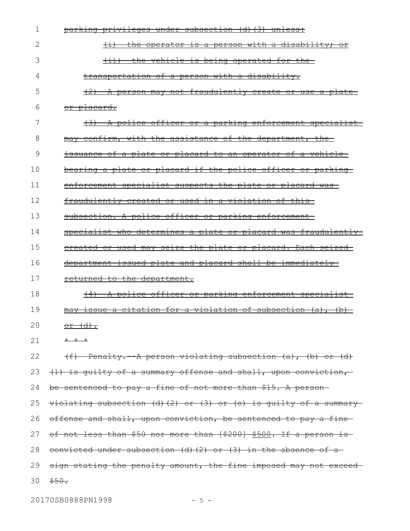| 1  | parking privileges under subsection (d) (3) unless:                    |
|----|------------------------------------------------------------------------|
| 2  | the operator is a person with a disability; or                         |
| 3  | the vehicle is being operated for the<br>$\overline{ \leftrightarrow}$ |
| 4  | transportation of a person with a disability.                          |
| 5  | A person may not fraudulently create or use a plate-                   |
| 6  | or placard.                                                            |
| 7  | (3) A police officer or a parking enforcement specialist               |
| 8  | may confirm, with the assistance of the department, the                |
| 9  | <u>issuance of a plate or placard to an operator of a vehicle-</u>     |
| 10 | bearing a plate or placard if the police officer or parking            |
| 11 | enforcement specialist suspects the plate or placard was-              |
| 12 | fraudulently created or used in a violation of this-                   |
| 13 | subsection. A police officer or parking enforcement-                   |
| 14 | specialist who determines a plate or placard was fraudulently          |
| 15 | ereated or used may seize the plate or placard. Each seized-           |
| 16 | department issued plate and placard shall be immediately               |
| 17 | returned to the department.                                            |
| 18 | (4) A police officer or parking enforcement specialist                 |
| 19 | issue a citation for a violation of subsection (a), (b)                |
| 20 | <u>or (d).</u>                                                         |
| 21 | $+$ $+$ $+$                                                            |
| 22 | (f) Penalty. A person violating subsection (a), (b) or (d)             |
| 23 | (1) is guilty of a summary offense and shall, upon conviction,         |
| 24 | be sentenced to pay a fine of not more than \$15. A person-            |
| 25 | $viblating subsection (d) (2) or (3) or (e) is guilty of a summary-$   |
| 26 | offense and shall, upon conviction, be sentenced to pay a fine-        |
| 27 | of not less than \$50 nor more than [\$200] \$500. If a person is      |
| 28 | convicted under subsection (d) $(2)$ or $(3)$ in the absence of a      |
| 29 | sign stating the penalty amount, the fine imposed may not exceed-      |
| 30 | \$50.                                                                  |

20170SB0888PN1998 - 5 -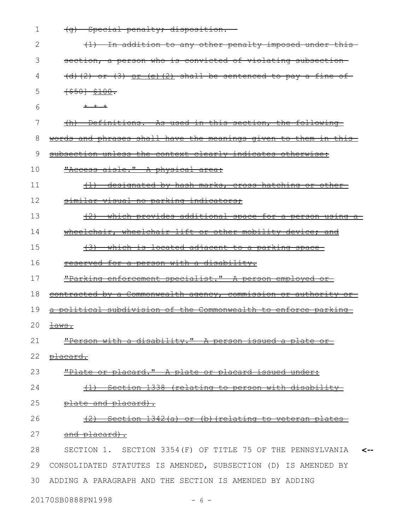| 1  | (g) Special penalty; disposition.                               |
|----|-----------------------------------------------------------------|
| 2  | (1) In addition to any other penalty imposed under this         |
| 3  | section, a person who is convicted of violating subsection      |
| 4  | $(d)$ (2) or (3) or (e)(2) shall be sentenced to pay a fine of  |
| 5  | $+$ \$50} \$100.                                                |
| 6  | $+$ $+$ $+$                                                     |
| 7  | (h) Definitions. As used in this section, the following         |
| 8  | words and phrases shall have the meanings given to them in this |
| 9  | subsection unless the context clearly indicates otherwise:      |
| 10 | "Access aisle." A physical area:                                |
| 11 | (1) designated by hash-marks, cross hatching or other-          |
| 12 | similar visual no parking indicators;                           |
| 13 | $(2)$ which provides additional space for a person using a      |
| 14 | wheelchair, wheelchair lift or other mobility device; and       |
| 15 | (3) which is located adjacent to a parking space                |
| 16 | reserved for a person with a disability.                        |
| 17 | "Parking enforcement specialist." A person employed or          |
| 18 | contracted by a Commonwealth agency, commission or authority or |
| 19 | a political subdivision of the Commonwealth to enforce parking  |
|    | 20 <del>laws.</del>                                             |
| 21 | "Person with a disability." A person issued a plate or          |
| 22 | placard.                                                        |
| 23 | "Plate or placard." A plate or placard issued under:            |
| 24 | Section 1338 (relating to person with disability<br>$+1$        |
| 25 | plate and placard).                                             |
| 26 | Section 1342(a) or (b) (relating to veteran plates              |
| 27 | and placard).                                                   |
| 28 | SECTION 1. SECTION 3354 (F) OF TITLE 75 OF THE PENNSYLVANIA     |
| 29 | CONSOLIDATED STATUTES IS AMENDED, SUBSECTION (D) IS AMENDED BY  |
| 30 | ADDING A PARAGRAPH AND THE SECTION IS AMENDED BY ADDING         |

20170SB0888PN1998 - 6 -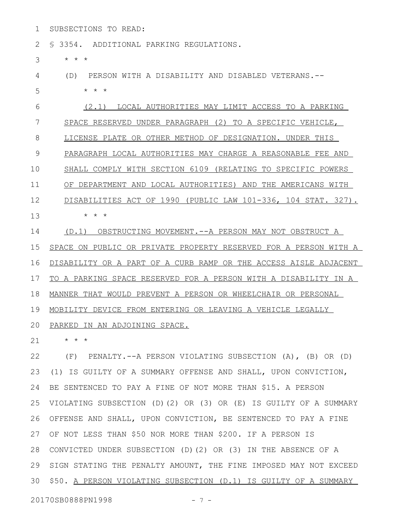SUBSECTIONS TO READ: 1

§ 3354. ADDITIONAL PARKING REGULATIONS. 2

\* \* \* 3

(D) PERSON WITH A DISABILITY AND DISABLED VETERANS.-- 4

\* \* \* 5

(2.1) LOCAL AUTHORITIES MAY LIMIT ACCESS TO A PARKING SPACE RESERVED UNDER PARAGRAPH (2) TO A SPECIFIC VEHICLE, LICENSE PLATE OR OTHER METHOD OF DESIGNATION. UNDER THIS PARAGRAPH LOCAL AUTHORITIES MAY CHARGE A REASONABLE FEE AND SHALL COMPLY WITH SECTION 6109 (RELATING TO SPECIFIC POWERS OF DEPARTMENT AND LOCAL AUTHORITIES) AND THE AMERICANS WITH DISABILITIES ACT OF 1990 (PUBLIC LAW 101-336, 104 STAT. 327). \* \* \* 6 7 8 9 10 11 12 13

(D.1) OBSTRUCTING MOVEMENT.--A PERSON MAY NOT OBSTRUCT A SPACE ON PUBLIC OR PRIVATE PROPERTY RESERVED FOR A PERSON WITH A DISABILITY OR A PART OF A CURB RAMP OR THE ACCESS AISLE ADJACENT TO A PARKING SPACE RESERVED FOR A PERSON WITH A DISABILITY IN A MANNER THAT WOULD PREVENT A PERSON OR WHEELCHAIR OR PERSONAL MOBILITY DEVICE FROM ENTERING OR LEAVING A VEHICLE LEGALLY 14 15 16 17 18 19

20 PARKED IN AN ADJOINING SPACE.

\* \* \* 21

(F) PENALTY.--A PERSON VIOLATING SUBSECTION (A), (B) OR (D) (1) IS GUILTY OF A SUMMARY OFFENSE AND SHALL, UPON CONVICTION, BE SENTENCED TO PAY A FINE OF NOT MORE THAN \$15. A PERSON VIOLATING SUBSECTION (D)(2) OR (3) OR (E) IS GUILTY OF A SUMMARY OFFENSE AND SHALL, UPON CONVICTION, BE SENTENCED TO PAY A FINE OF NOT LESS THAN \$50 NOR MORE THAN \$200. IF A PERSON IS 27 28 CONVICTED UNDER SUBSECTION (D)(2) OR (3) IN THE ABSENCE OF A 29 SIGN STATING THE PENALTY AMOUNT, THE FINE IMPOSED MAY NOT EXCEED 30 \$50. A PERSON VIOLATING SUBSECTION (D.1) IS GUILTY OF A SUMMARY 22 23 24 25 26